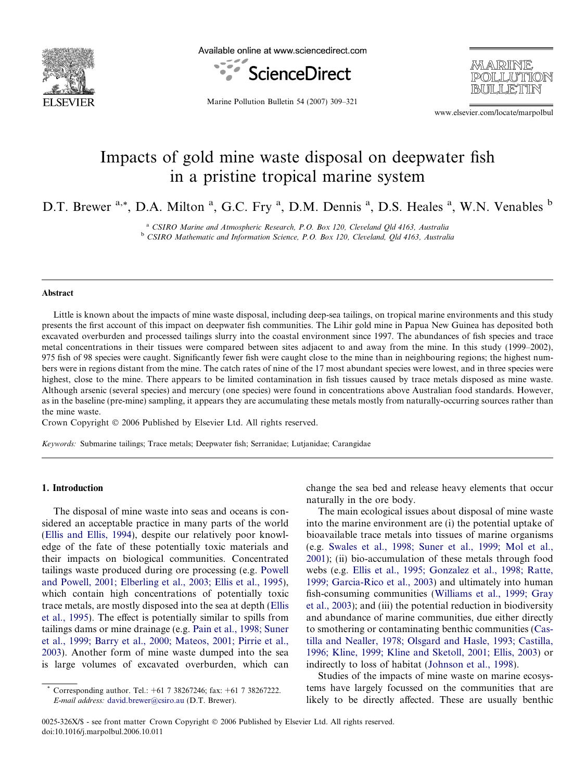

Available online at www.sciencedirect.com



MARINE POLLUTION RII I FIIN

Marine Pollution Bulletin 54 (2007) 309–321

www.elsevier.com/locate/marpolbul

# Impacts of gold mine waste disposal on deepwater fish in a pristine tropical marine system

D.T. Brewer <sup>a,\*</sup>, D.A. Milton <sup>a</sup>, G.C. Fry <sup>a</sup>, D.M. Dennis <sup>a</sup>, D.S. Heales <sup>a</sup>, W.N. Venables <sup>b</sup>

<sup>a</sup> CSIRO Marine and Atmospheric Research, P.O. Box 120, Cleveland Qld 4163, Australia <sup>b</sup> CSIRO Mathematic and Information Science, P.O. Box 120, Cleveland, Qld 4163, Australia

#### Abstract

Little is known about the impacts of mine waste disposal, including deep-sea tailings, on tropical marine environments and this study presents the first account of this impact on deepwater fish communities. The Lihir gold mine in Papua New Guinea has deposited both excavated overburden and processed tailings slurry into the coastal environment since 1997. The abundances of fish species and trace metal concentrations in their tissues were compared between sites adjacent to and away from the mine. In this study (1999–2002), 975 fish of 98 species were caught. Significantly fewer fish were caught close to the mine than in neighbouring regions; the highest numbers were in regions distant from the mine. The catch rates of nine of the 17 most abundant species were lowest, and in three species were highest, close to the mine. There appears to be limited contamination in fish tissues caused by trace metals disposed as mine waste. Although arsenic (several species) and mercury (one species) were found in concentrations above Australian food standards. However, as in the baseline (pre-mine) sampling, it appears they are accumulating these metals mostly from naturally-occurring sources rather than the mine waste.

Crown Copyright © 2006 Published by Elsevier Ltd. All rights reserved.

Keywords: Submarine tailings; Trace metals; Deepwater fish; Serranidae; Lutjanidae; Carangidae

# 1. Introduction

The disposal of mine waste into seas and oceans is considered an acceptable practice in many parts of the world ([Ellis and Ellis, 1994\)](#page-11-0), despite our relatively poor knowledge of the fate of these potentially toxic materials and their impacts on biological communities. Concentrated tailings waste produced during ore processing (e.g. [Powell](#page-12-0) [and Powell, 2001; Elberling et al., 2003; Ellis et al., 1995\)](#page-12-0), which contain high concentrations of potentially toxic trace metals, are mostly disposed into the sea at depth ([Ellis](#page-11-0) [et al., 1995\)](#page-11-0). The effect is potentially similar to spills from tailings dams or mine drainage (e.g. [Pain et al., 1998; Suner](#page-12-0) [et al., 1999; Barry et al., 2000; Mateos, 2001; Pirrie et al.,](#page-12-0) [2003](#page-12-0)). Another form of mine waste dumped into the sea is large volumes of excavated overburden, which can change the sea bed and release heavy elements that occur naturally in the ore body.

The main ecological issues about disposal of mine waste into the marine environment are (i) the potential uptake of bioavailable trace metals into tissues of marine organisms (e.g. [Swales et al., 1998; Suner et al., 1999; Mol et al.,](#page-12-0) [2001](#page-12-0)); (ii) bio-accumulation of these metals through food webs (e.g. [Ellis et al., 1995; Gonzalez et al., 1998; Ratte,](#page-11-0) [1999; Garcia-Rico et al., 2003\)](#page-11-0) and ultimately into human fish-consuming communities [\(Williams et al., 1999; Gray](#page-12-0) [et al., 2003\)](#page-12-0); and (iii) the potential reduction in biodiversity and abundance of marine communities, due either directly to smothering or contaminating benthic communities [\(Cas](#page-11-0)[tilla and Nealler, 1978; Olsgard and Hasle, 1993; Castilla,](#page-11-0) [1996; Kline, 1999; Kline and Sketoll, 2001; Ellis, 2003](#page-11-0)) or indirectly to loss of habitat [\(Johnson et al., 1998\)](#page-12-0).

Studies of the impacts of mine waste on marine ecosystems have largely focussed on the communities that are likely to be directly affected. These are usually benthic

Corresponding author. Tel.:  $+61$  7 38267246; fax:  $+61$  7 38267222. E-mail address: [david.brewer@csiro.au](mailto:david.brewer@csiro.au) (D.T. Brewer).

<sup>0025-326</sup>X/\$ - see front matter Crown Copyright © 2006 Published by Elsevier Ltd. All rights reserved. doi:10.1016/j.marpolbul.2006.10.011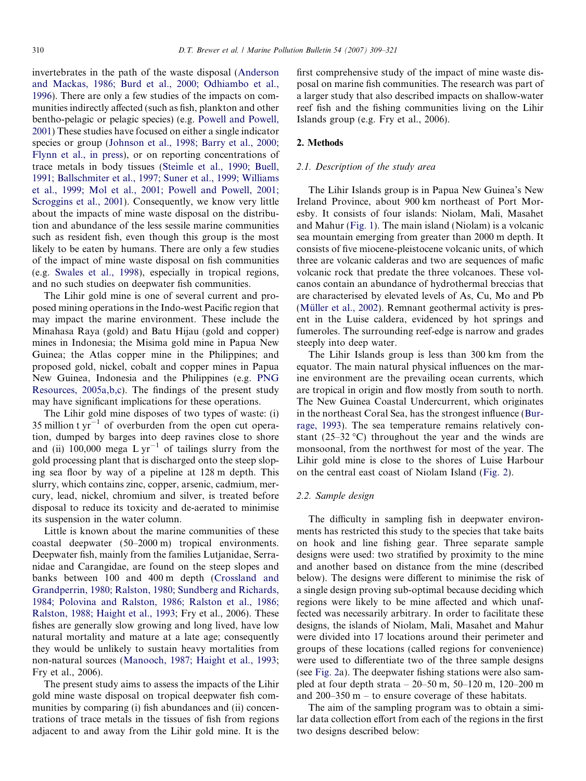invertebrates in the path of the waste disposal ([Anderson](#page-11-0) [and Mackas, 1986; Burd et al., 2000; Odhiambo et al.,](#page-11-0) [1996\)](#page-11-0). There are only a few studies of the impacts on communities indirectly affected (such as fish, plankton and other bentho-pelagic or pelagic species) (e.g. [Powell and Powell,](#page-12-0) [2001\)](#page-12-0) These studies have focused on either a single indicator species or group ([Johnson et al., 1998; Barry et al., 2000;](#page-12-0) [Flynn et al., in press](#page-12-0)), or on reporting concentrations of trace metals in body tissues [\(Steimle et al., 1990; Buell,](#page-12-0) [1991; Ballschmiter et al., 1997; Suner et al., 1999; Williams](#page-12-0) [et al., 1999; Mol et al., 2001; Powell and Powell, 2001;](#page-12-0) [Scroggins et al., 2001\)](#page-12-0). Consequently, we know very little about the impacts of mine waste disposal on the distribution and abundance of the less sessile marine communities such as resident fish, even though this group is the most likely to be eaten by humans. There are only a few studies of the impact of mine waste disposal on fish communities (e.g. [Swales et al., 1998](#page-12-0)), especially in tropical regions, and no such studies on deepwater fish communities.

The Lihir gold mine is one of several current and proposed mining operations in the Indo-west Pacific region that may impact the marine environment. These include the Minahasa Raya (gold) and Batu Hijau (gold and copper) mines in Indonesia; the Misima gold mine in Papua New Guinea; the Atlas copper mine in the Philippines; and proposed gold, nickel, cobalt and copper mines in Papua New Guinea, Indonesia and the Philippines (e.g. [PNG](#page-12-0) [Resources, 2005a,b,c\)](#page-12-0). The findings of the present study may have significant implications for these operations.

The Lihir gold mine disposes of two types of waste: (i)  $35$  million t yr<sup>-1</sup> of overburden from the open cut operation, dumped by barges into deep ravines close to shore and (ii)  $100,000$  mega L yr<sup>-1</sup> of tailings slurry from the gold processing plant that is discharged onto the steep sloping sea floor by way of a pipeline at 128 m depth. This slurry, which contains zinc, copper, arsenic, cadmium, mercury, lead, nickel, chromium and silver, is treated before disposal to reduce its toxicity and de-aerated to minimise its suspension in the water column.

Little is known about the marine communities of these coastal deepwater (50–2000 m) tropical environments. Deepwater fish, mainly from the families Lutjanidae, Serranidae and Carangidae, are found on the steep slopes and banks between 100 and 400 m depth ([Crossland and](#page-11-0) [Grandperrin, 1980; Ralston, 1980; Sundberg and Richards,](#page-11-0) [1984; Polovina and Ralston, 1986; Ralston et al., 1986;](#page-11-0) [Ralston, 1988; Haight et al., 1993](#page-11-0); Fry et al., 2006). These fishes are generally slow growing and long lived, have low natural mortality and mature at a late age; consequently they would be unlikely to sustain heavy mortalities from non-natural sources [\(Manooch, 1987; Haight et al., 1993](#page-12-0); Fry et al., 2006).

The present study aims to assess the impacts of the Lihir gold mine waste disposal on tropical deepwater fish communities by comparing (i) fish abundances and (ii) concentrations of trace metals in the tissues of fish from regions adjacent to and away from the Lihir gold mine. It is the

first comprehensive study of the impact of mine waste disposal on marine fish communities. The research was part of a larger study that also described impacts on shallow-water reef fish and the fishing communities living on the Lihir Islands group (e.g. Fry et al., 2006).

# 2. Methods

# 2.1. Description of the study area

The Lihir Islands group is in Papua New Guinea's New Ireland Province, about 900 km northeast of Port Moresby. It consists of four islands: Niolam, Mali, Masahet and Mahur ([Fig. 1](#page-2-0)). The main island (Niolam) is a volcanic sea mountain emerging from greater than 2000 m depth. It consists of five miocene-pleistocene volcanic units, of which three are volcanic calderas and two are sequences of mafic volcanic rock that predate the three volcanoes. These volcanos contain an abundance of hydrothermal breccias that are characterised by elevated levels of As, Cu, Mo and Pb (Müller et al., 2002). Remnant geothermal activity is present in the Luise caldera, evidenced by hot springs and fumeroles. The surrounding reef-edge is narrow and grades steeply into deep water.

The Lihir Islands group is less than 300 km from the equator. The main natural physical influences on the marine environment are the prevailing ocean currents, which are tropical in origin and flow mostly from south to north. The New Guinea Coastal Undercurrent, which originates in the northeast Coral Sea, has the strongest influence [\(Bur](#page-11-0)[rage, 1993](#page-11-0)). The sea temperature remains relatively constant (25–32 °C) throughout the year and the winds are monsoonal, from the northwest for most of the year. The Lihir gold mine is close to the shores of Luise Harbour on the central east coast of Niolam Island [\(Fig. 2](#page-2-0)).

#### 2.2. Sample design

The difficulty in sampling fish in deepwater environments has restricted this study to the species that take baits on hook and line fishing gear. Three separate sample designs were used: two stratified by proximity to the mine and another based on distance from the mine (described below). The designs were different to minimise the risk of a single design proving sub-optimal because deciding which regions were likely to be mine affected and which unaffected was necessarily arbitrary. In order to facilitate these designs, the islands of Niolam, Mali, Masahet and Mahur were divided into 17 locations around their perimeter and groups of these locations (called regions for convenience) were used to differentiate two of the three sample designs (see [Fig. 2a](#page-2-0)). The deepwater fishing stations were also sampled at four depth strata – 20–50 m, 50–120 m, 120–200 m and 200–350 m – to ensure coverage of these habitats.

The aim of the sampling program was to obtain a similar data collection effort from each of the regions in the first two designs described below: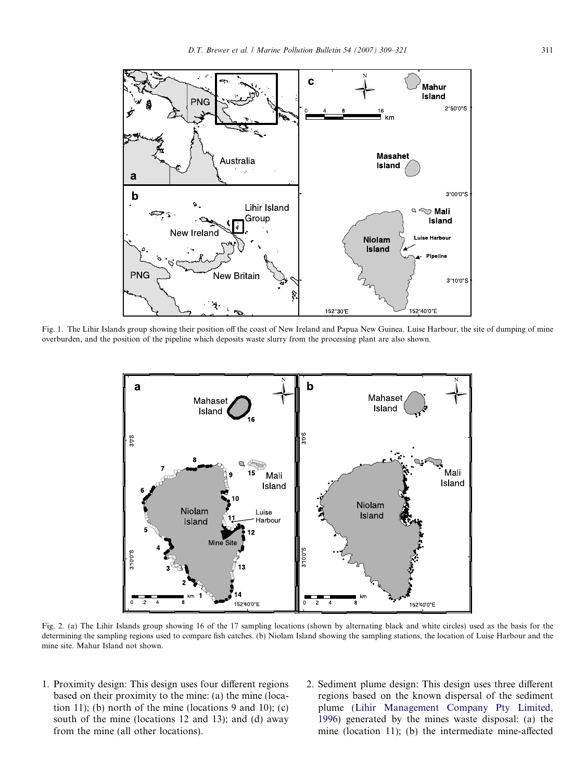<span id="page-2-0"></span>

Fig. 1. The Lihir Islands group showing their position off the coast of New Ireland and Papua New Guinea. Luise Harbour, the site of dumping of mine overburden, and the position of the pipeline which deposits waste slurry from the processing plant are also shown.



Fig. 2. (a) The Lihir Islands group showing 16 of the 17 sampling locations (shown by alternating black and white circles) used as the basis for the determining the sampling regions used to compare fish catches. (b) Niolam Island showing the sampling stations, the location of Luise Harbour and the mine site. Mahur Island not shown.

- 1. Proximity design: This design uses four different regions based on their proximity to the mine: (a) the mine (location 11); (b) north of the mine (locations 9 and 10); (c) south of the mine (locations 12 and 13); and (d) away from the mine (all other locations).
- 2. Sediment plume design: This design uses three different regions based on the known dispersal of the sediment plume ([Lihir Management Company Pty Limited,](#page-12-0) [1996](#page-12-0)) generated by the mines waste disposal: (a) the mine (location 11); (b) the intermediate mine-affected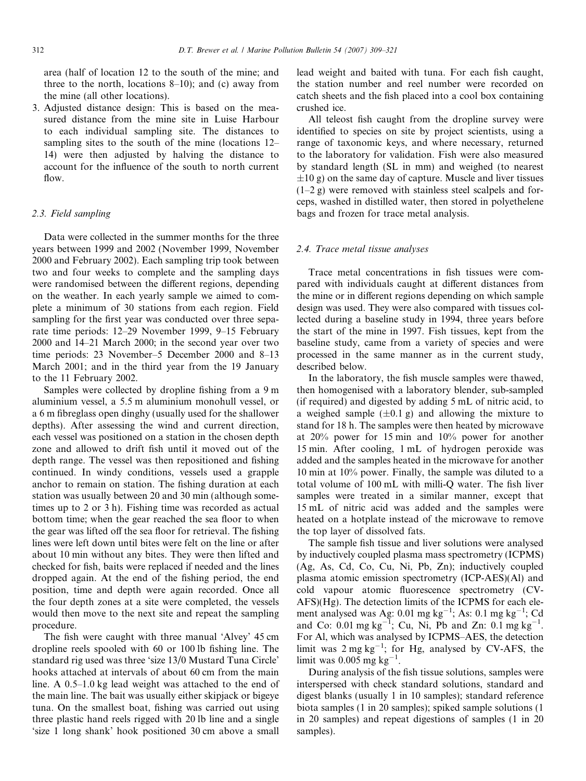area (half of location 12 to the south of the mine; and three to the north, locations  $8-10$ ); and (c) away from the mine (all other locations).

3. Adjusted distance design: This is based on the measured distance from the mine site in Luise Harbour to each individual sampling site. The distances to sampling sites to the south of the mine (locations 12– 14) were then adjusted by halving the distance to account for the influence of the south to north current flow.

# 2.3. Field sampling

Data were collected in the summer months for the three years between 1999 and 2002 (November 1999, November 2000 and February 2002). Each sampling trip took between two and four weeks to complete and the sampling days were randomised between the different regions, depending on the weather. In each yearly sample we aimed to complete a minimum of 30 stations from each region. Field sampling for the first year was conducted over three separate time periods: 12–29 November 1999, 9–15 February 2000 and 14–21 March 2000; in the second year over two time periods: 23 November–5 December 2000 and 8–13 March 2001; and in the third year from the 19 January to the 11 February 2002.

Samples were collected by dropline fishing from a 9 m aluminium vessel, a 5.5 m aluminium monohull vessel, or a 6 m fibreglass open dinghy (usually used for the shallower depths). After assessing the wind and current direction, each vessel was positioned on a station in the chosen depth zone and allowed to drift fish until it moved out of the depth range. The vessel was then repositioned and fishing continued. In windy conditions, vessels used a grapple anchor to remain on station. The fishing duration at each station was usually between 20 and 30 min (although sometimes up to 2 or 3 h). Fishing time was recorded as actual bottom time; when the gear reached the sea floor to when the gear was lifted off the sea floor for retrieval. The fishing lines were left down until bites were felt on the line or after about 10 min without any bites. They were then lifted and checked for fish, baits were replaced if needed and the lines dropped again. At the end of the fishing period, the end position, time and depth were again recorded. Once all the four depth zones at a site were completed, the vessels would then move to the next site and repeat the sampling procedure.

The fish were caught with three manual 'Alvey' 45 cm dropline reels spooled with 60 or 100 lb fishing line. The standard rig used was three 'size 13/0 Mustard Tuna Circle' hooks attached at intervals of about 60 cm from the main line. A 0.5–1.0 kg lead weight was attached to the end of the main line. The bait was usually either skipjack or bigeye tuna. On the smallest boat, fishing was carried out using three plastic hand reels rigged with 20 lb line and a single 'size 1 long shank' hook positioned 30 cm above a small lead weight and baited with tuna. For each fish caught, the station number and reel number were recorded on catch sheets and the fish placed into a cool box containing crushed ice.

All teleost fish caught from the dropline survey were identified to species on site by project scientists, using a range of taxonomic keys, and where necessary, returned to the laboratory for validation. Fish were also measured by standard length (SL in mm) and weighed (to nearest  $\pm 10$  g) on the same day of capture. Muscle and liver tissues  $(1-2 \text{ g})$  were removed with stainless steel scalpels and forceps, washed in distilled water, then stored in polyethelene bags and frozen for trace metal analysis.

#### 2.4. Trace metal tissue analyses

Trace metal concentrations in fish tissues were compared with individuals caught at different distances from the mine or in different regions depending on which sample design was used. They were also compared with tissues collected during a baseline study in 1994, three years before the start of the mine in 1997. Fish tissues, kept from the baseline study, came from a variety of species and were processed in the same manner as in the current study, described below.

In the laboratory, the fish muscle samples were thawed, then homogenised with a laboratory blender, sub-sampled (if required) and digested by adding 5 mL of nitric acid, to a weighed sample  $(\pm 0.1 \text{ g})$  and allowing the mixture to stand for 18 h. The samples were then heated by microwave at 20% power for 15 min and 10% power for another 15 min. After cooling, 1 mL of hydrogen peroxide was added and the samples heated in the microwave for another 10 min at 10% power. Finally, the sample was diluted to a total volume of 100 mL with milli-Q water. The fish liver samples were treated in a similar manner, except that 15 mL of nitric acid was added and the samples were heated on a hotplate instead of the microwave to remove the top layer of dissolved fats.

The sample fish tissue and liver solutions were analysed by inductively coupled plasma mass spectrometry (ICPMS) (Ag, As, Cd, Co, Cu, Ni, Pb, Zn); inductively coupled plasma atomic emission spectrometry (ICP-AES)(Al) and cold vapour atomic fluorescence spectrometry (CV-AFS)(Hg). The detection limits of the ICPMS for each element analysed was Ag:  $0.01$  mg kg<sup>-1</sup>; As:  $0.1$  mg kg<sup>-1</sup>; Cd and Co: 0.01 mg  $kg^{-1}$ ; Cu, Ni, Pb and Zn: 0.1 mg  $kg^{-1}$ . For Al, which was analysed by ICPMS–AES, the detection limit was  $2 \text{ mg kg}^{-1}$ ; for Hg, analysed by CV-AFS, the limit was  $0.005$  mg kg<sup>-1</sup>.

During analysis of the fish tissue solutions, samples were interspersed with check standard solutions, standard and digest blanks (usually 1 in 10 samples); standard reference biota samples (1 in 20 samples); spiked sample solutions (1 in 20 samples) and repeat digestions of samples (1 in 20 samples).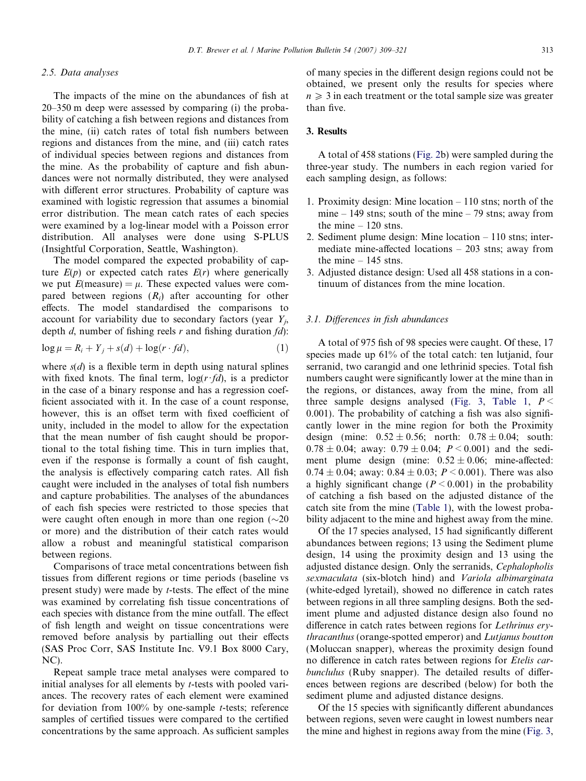# 2.5. Data analyses

The impacts of the mine on the abundances of fish at 20–350 m deep were assessed by comparing (i) the probability of catching a fish between regions and distances from the mine, (ii) catch rates of total fish numbers between regions and distances from the mine, and (iii) catch rates of individual species between regions and distances from the mine. As the probability of capture and fish abundances were not normally distributed, they were analysed with different error structures. Probability of capture was examined with logistic regression that assumes a binomial error distribution. The mean catch rates of each species were examined by a log-linear model with a Poisson error distribution. All analyses were done using S-PLUS (Insightful Corporation, Seattle, Washington).

The model compared the expected probability of capture  $E(p)$  or expected catch rates  $E(r)$  where generically we put  $E$ (measure) =  $\mu$ . These expected values were compared between regions  $(R<sub>i</sub>)$  after accounting for other effects. The model standardised the comparisons to account for variability due to secondary factors (year  $Y_i$ , depth  $d$ , number of fishing reels r and fishing duration  $fd$ ):

$$
\log \mu = R_i + Y_j + s(d) + \log(r \cdot fd),\tag{1}
$$

where  $s(d)$  is a flexible term in depth using natural splines with fixed knots. The final term,  $log(r \cdot fd)$ , is a predictor in the case of a binary response and has a regression coefficient associated with it. In the case of a count response, however, this is an offset term with fixed coefficient of unity, included in the model to allow for the expectation that the mean number of fish caught should be proportional to the total fishing time. This in turn implies that, even if the response is formally a count of fish caught, the analysis is effectively comparing catch rates. All fish caught were included in the analyses of total fish numbers and capture probabilities. The analyses of the abundances of each fish species were restricted to those species that were caught often enough in more than one region  $(\sim 20)$ or more) and the distribution of their catch rates would allow a robust and meaningful statistical comparison between regions.

Comparisons of trace metal concentrations between fish tissues from different regions or time periods (baseline vs present study) were made by t-tests. The effect of the mine was examined by correlating fish tissue concentrations of each species with distance from the mine outfall. The effect of fish length and weight on tissue concentrations were removed before analysis by partialling out their effects (SAS Proc Corr, SAS Institute Inc. V9.1 Box 8000 Cary, NC).

Repeat sample trace metal analyses were compared to initial analyses for all elements by *t*-tests with pooled variances. The recovery rates of each element were examined for deviation from  $100\%$  by one-sample *t*-tests; reference samples of certified tissues were compared to the certified concentrations by the same approach. As sufficient samples of many species in the different design regions could not be obtained, we present only the results for species where  $n \geq 3$  in each treatment or the total sample size was greater than five.

## 3. Results

A total of 458 stations [\(Fig. 2b](#page-2-0)) were sampled during the three-year study. The numbers in each region varied for each sampling design, as follows:

- 1. Proximity design: Mine location 110 stns; north of the mine – 149 stns; south of the mine – 79 stns; away from the mine – 120 stns.
- 2. Sediment plume design: Mine location 110 stns; intermediate mine-affected locations – 203 stns; away from the mine – 145 stns.
- 3. Adjusted distance design: Used all 458 stations in a continuum of distances from the mine location.

# 3.1. Differences in fish abundances

A total of 975 fish of 98 species were caught. Of these, 17 species made up 61% of the total catch: ten lutjanid, four serranid, two carangid and one lethrinid species. Total fish numbers caught were significantly lower at the mine than in the regions, or distances, away from the mine, from all three sample designs analysed ([Fig. 3,](#page-5-0) [Table 1,](#page-6-0)  $P \leq$ 0.001). The probability of catching a fish was also significantly lower in the mine region for both the Proximity design (mine:  $0.52 \pm 0.56$ ; north:  $0.78 \pm 0.04$ ; south:  $0.78 \pm 0.04$ ; away:  $0.79 \pm 0.04$ ;  $P \le 0.001$ ) and the sediment plume design (mine:  $0.52 \pm 0.06$ ; mine-affected:  $0.74 \pm 0.04$ ; away:  $0.84 \pm 0.03$ ;  $P \le 0.001$ ). There was also a highly significant change ( $P \le 0.001$ ) in the probability of catching a fish based on the adjusted distance of the catch site from the mine [\(Table 1\)](#page-6-0), with the lowest probability adjacent to the mine and highest away from the mine.

Of the 17 species analysed, 15 had significantly different abundances between regions; 13 using the Sediment plume design, 14 using the proximity design and 13 using the adjusted distance design. Only the serranids, Cephalopholis sexmaculata (six-blotch hind) and Variola albimarginata (white-edged lyretail), showed no difference in catch rates between regions in all three sampling designs. Both the sediment plume and adjusted distance design also found no difference in catch rates between regions for Lethrinus erythracanthus (orange-spotted emperor) and Lutjanus boutton (Moluccan snapper), whereas the proximity design found no difference in catch rates between regions for Etelis carbunclulus (Ruby snapper). The detailed results of differences between regions are described (below) for both the sediment plume and adjusted distance designs.

Of the 15 species with significantly different abundances between regions, seven were caught in lowest numbers near the mine and highest in regions away from the mine [\(Fig. 3,](#page-5-0)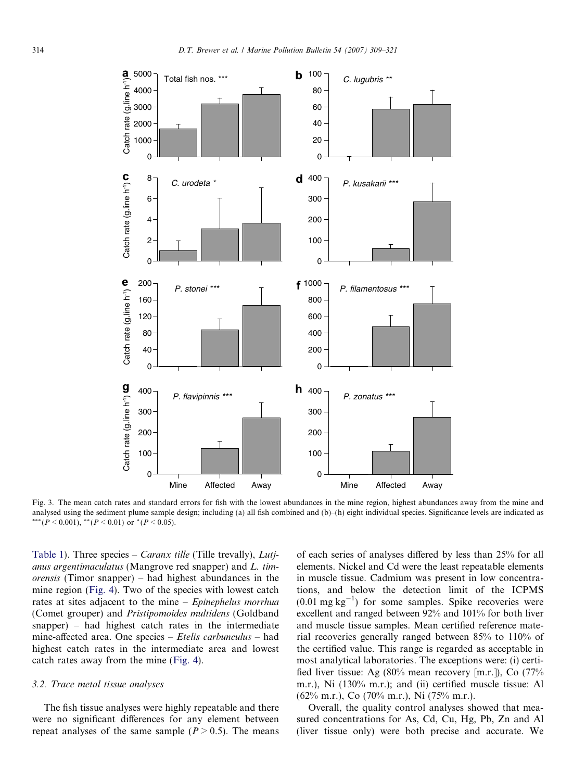<span id="page-5-0"></span>

Fig. 3. The mean catch rates and standard errors for fish with the lowest abundances in the mine region, highest abundances away from the mine and analysed using the sediment plume sample design; including (a) all fish combined and (b)–(h) eight individual species. Significance levels are indicated as \*\*\*  $(P < 0.001)$ , \*\*  $(P < 0.01)$  or  $*(P < 0.05)$ .

[Table 1](#page-6-0)). Three species – *Caranx tille* (Tille trevally), *Lutj*anus argentimaculatus (Mangrove red snapper) and L. timorensis (Timor snapper) – had highest abundances in the mine region [\(Fig. 4\)](#page-7-0). Two of the species with lowest catch rates at sites adjacent to the mine – Epinephelus morrhua (Comet grouper) and Pristipomoides multidens (Goldband snapper) – had highest catch rates in the intermediate mine-affected area. One species – Etelis carbunculus – had highest catch rates in the intermediate area and lowest catch rates away from the mine ([Fig. 4](#page-7-0)).

## 3.2. Trace metal tissue analyses

The fish tissue analyses were highly repeatable and there were no significant differences for any element between repeat analyses of the same sample ( $P > 0.5$ ). The means of each series of analyses differed by less than 25% for all elements. Nickel and Cd were the least repeatable elements in muscle tissue. Cadmium was present in low concentrations, and below the detection limit of the ICPMS  $(0.01 \text{ mg kg}^{-1})$  for some samples. Spike recoveries were excellent and ranged between 92% and 101% for both liver and muscle tissue samples. Mean certified reference material recoveries generally ranged between 85% to 110% of the certified value. This range is regarded as acceptable in most analytical laboratories. The exceptions were: (i) certified liver tissue: Ag (80% mean recovery [m.r.]), Co (77% m.r.), Ni (130% m.r.); and (ii) certified muscle tissue: Al (62% m.r.), Co (70% m.r.), Ni (75% m.r.).

Overall, the quality control analyses showed that measured concentrations for As, Cd, Cu, Hg, Pb, Zn and Al (liver tissue only) were both precise and accurate. We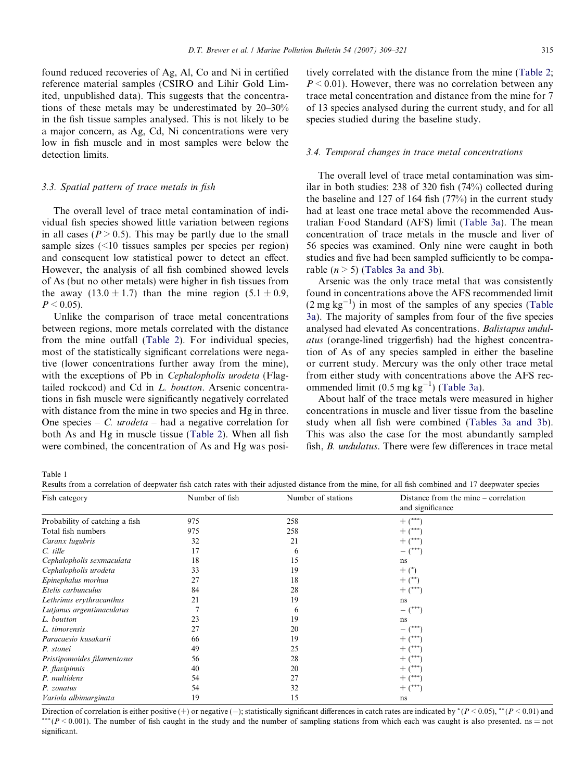<span id="page-6-0"></span>found reduced recoveries of Ag, Al, Co and Ni in certified reference material samples (CSIRO and Lihir Gold Limited, unpublished data). This suggests that the concentrations of these metals may be underestimated by 20–30% in the fish tissue samples analysed. This is not likely to be a major concern, as Ag, Cd, Ni concentrations were very low in fish muscle and in most samples were below the detection limits.

## 3.3. Spatial pattern of trace metals in fish

The overall level of trace metal contamination of individual fish species showed little variation between regions in all cases ( $P > 0.5$ ). This may be partly due to the small sample sizes (<10 tissues samples per species per region) and consequent low statistical power to detect an effect. However, the analysis of all fish combined showed levels of As (but no other metals) were higher in fish tissues from the away  $(13.0 \pm 1.7)$  than the mine region  $(5.1 \pm 0.9,$  $P < 0.05$ ).

Unlike the comparison of trace metal concentrations between regions, more metals correlated with the distance from the mine outfall [\(Table 2](#page-8-0)). For individual species, most of the statistically significant correlations were negative (lower concentrations further away from the mine), with the exceptions of Pb in Cephalopholis urodeta (Flagtailed rockcod) and Cd in L. boutton. Arsenic concentrations in fish muscle were significantly negatively correlated with distance from the mine in two species and Hg in three. One species – C. *urodeta* – had a negative correlation for both As and Hg in muscle tissue [\(Table 2\)](#page-8-0). When all fish were combined, the concentration of As and Hg was positively correlated with the distance from the mine [\(Table 2;](#page-8-0)  $P < 0.01$ ). However, there was no correlation between any trace metal concentration and distance from the mine for 7 of 13 species analysed during the current study, and for all species studied during the baseline study.

#### 3.4. Temporal changes in trace metal concentrations

The overall level of trace metal contamination was similar in both studies: 238 of 320 fish (74%) collected during the baseline and 127 of 164 fish (77%) in the current study had at least one trace metal above the recommended Australian Food Standard (AFS) limit ([Table 3a](#page-9-0)). The mean concentration of trace metals in the muscle and liver of 56 species was examined. Only nine were caught in both studies and five had been sampled sufficiently to be comparable  $(n > 5)$  [\(Tables 3a and 3b\)](#page-9-0).

Arsenic was the only trace metal that was consistently found in concentrations above the AFS recommended limit  $(2 \text{ mg kg}^{-1})$  in most of the samples of any species [\(Table](#page-9-0) [3a\)](#page-9-0). The majority of samples from four of the five species analysed had elevated As concentrations. Balistapus undulatus (orange-lined triggerfish) had the highest concentration of As of any species sampled in either the baseline or current study. Mercury was the only other trace metal from either study with concentrations above the AFS recommended limit  $(0.5 \text{ mg kg}^{-1})$  [\(Table 3a\)](#page-9-0).

About half of the trace metals were measured in higher concentrations in muscle and liver tissue from the baseline study when all fish were combined [\(Tables 3a and 3b\)](#page-9-0). This was also the case for the most abundantly sampled fish, *B. undulatus*. There were few differences in trace metal

Table 1

Results from a correlation of deepwater fish catch rates with their adjusted distance from the mine, for all fish combined and 17 deepwater species

| Fish category                  | Number of fish | Number of stations | Distance from the mine $-$ correlation<br>and significance |
|--------------------------------|----------------|--------------------|------------------------------------------------------------|
| Probability of catching a fish | 975            | 258                | $+$ (***                                                   |
| Total fish numbers             | 975            | 258                | $+$ (***)                                                  |
| Caranx lugubris                | 32             | 21                 | $+$ (***                                                   |
| C. tille                       | 17             | 6                  | $-$ (***)                                                  |
| Cephalopholis sexmaculata      | 18             | 15                 | ns                                                         |
| Cephalopholis urodeta          | 33             | 19                 | $+$ $(*)$                                                  |
| Epinephalus morhua             | 27             | 18                 | $+$ (**                                                    |
| Etelis carbunculus             | 84             | 28                 | $+$ (***)                                                  |
| Lethrinus erythracanthus       | 21             | 19                 | ns                                                         |
| Lutjanus argentimaculatus      |                | O                  | $-$ (                                                      |
| L. boutton                     | 23             | 19                 | ns                                                         |
| L. timorensis                  | 27             | 20                 | $-1$                                                       |
| Paracaesio kusakarii           | 66             | 19                 | $^{+}$ (                                                   |
| P. stonei                      | 49             | 25                 | $+$ (***)                                                  |
| Pristipomoides filamentosus    | 56             | 28                 | $+$ (***                                                   |
| P. flavipinnis                 | 40             | 20                 | $+$ (***)                                                  |
| P. multidens                   | 54             | 27                 | $+$ (                                                      |
| P. zonatus                     | 54             | 32                 | $+$ (***)                                                  |
| Variola albimarginata          | 19             | 15                 | ns                                                         |

Direction of correlation is either positive (+) or negative (-); statistically significant differences in catch rates are indicated by  $*(P < 0.05)$ , \*\* $(P < 0.01)$  and \*\*\* ( $P \le 0.001$ ). The number of fish caught in the study and the number of sampling stations from which each was caught is also presented. ns = not significant.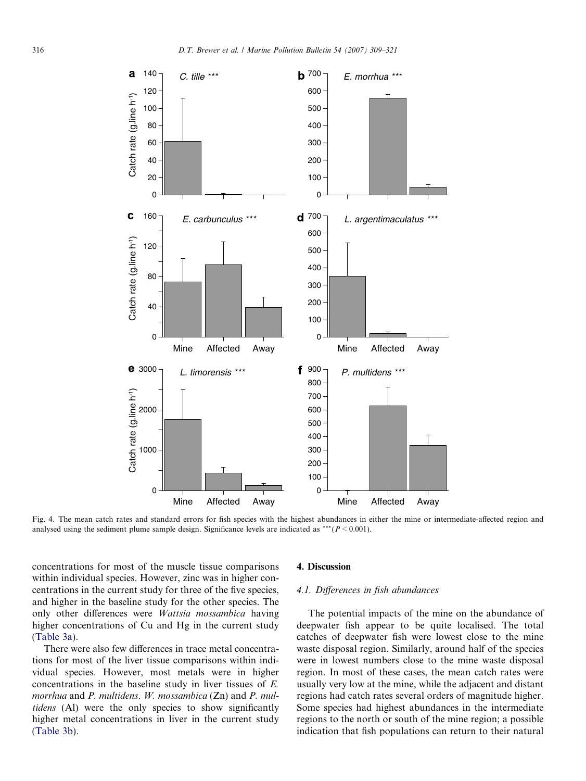<span id="page-7-0"></span>

Fig. 4. The mean catch rates and standard errors for fish species with the highest abundances in either the mine or intermediate-affected region and analysed using the sediment plume sample design. Significance levels are indicated as \*\*\*  $(P < 0.001)$ .

concentrations for most of the muscle tissue comparisons within individual species. However, zinc was in higher concentrations in the current study for three of the five species, and higher in the baseline study for the other species. The only other differences were Wattsia mossambica having higher concentrations of Cu and Hg in the current study [\(Table 3a\)](#page-9-0).

There were also few differences in trace metal concentrations for most of the liver tissue comparisons within individual species. However, most metals were in higher concentrations in the baseline study in liver tissues of E. morrhua and P. multidens. W. mossambica (Zn) and P. multidens (Al) were the only species to show significantly higher metal concentrations in liver in the current study [\(Table 3b](#page-9-0)).

#### 4. Discussion

#### 4.1. Differences in fish abundances

The potential impacts of the mine on the abundance of deepwater fish appear to be quite localised. The total catches of deepwater fish were lowest close to the mine waste disposal region. Similarly, around half of the species were in lowest numbers close to the mine waste disposal region. In most of these cases, the mean catch rates were usually very low at the mine, while the adjacent and distant regions had catch rates several orders of magnitude higher. Some species had highest abundances in the intermediate regions to the north or south of the mine region; a possible indication that fish populations can return to their natural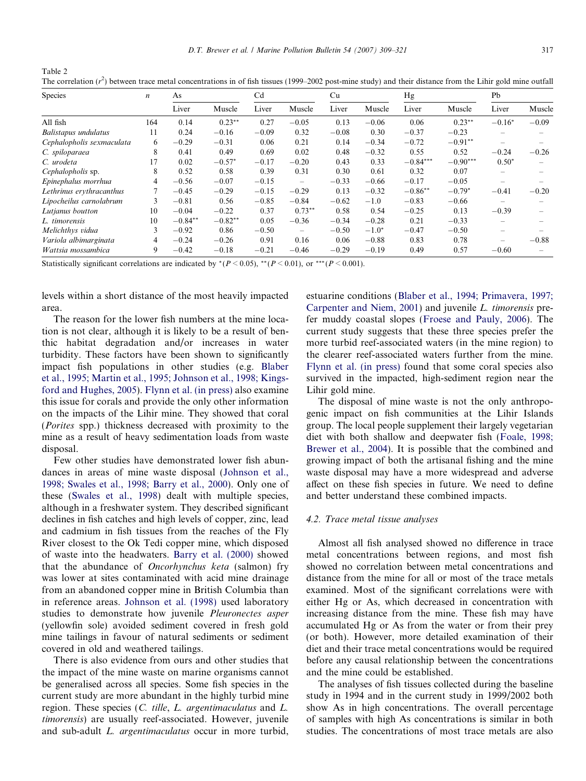<span id="page-8-0"></span>Table 2 The correlation  $(r^2)$  between trace metal concentrations in of fish tissues (1999–2002 post-mine study) and their distance from the Lihir gold mine outfall

| Species                   | $\boldsymbol{n}$ | As        |           | C <sub>d</sub> |                          | Cu      |          | Hg         |            | Pb                       |                          |
|---------------------------|------------------|-----------|-----------|----------------|--------------------------|---------|----------|------------|------------|--------------------------|--------------------------|
|                           |                  | Liver     | Muscle    | Liver          | Muscle                   | Liver   | Muscle   | Liver      | Muscle     | Liver                    | Muscle                   |
| All fish                  | 164              | 0.14      | $0.23***$ | 0.27           | $-0.05$                  | 0.13    | $-0.06$  | 0.06       | $0.23***$  | $-0.16*$                 | $-0.09$                  |
| Balistapus undulatus      | 11               | 0.24      | $-0.16$   | $-0.09$        | 0.32                     | $-0.08$ | 0.30     | $-0.37$    | $-0.23$    |                          |                          |
| Cephalopholis sexmaculata | 6                | $-0.29$   | $-0.31$   | 0.06           | 0.21                     | 0.14    | $-0.34$  | $-0.72$    | $-0.91**$  | $\overline{\phantom{0}}$ |                          |
| C. spiloparaea            | 8                | 0.41      | 0.49      | 0.69           | 0.02                     | 0.48    | $-0.32$  | 0.55       | 0.52       | $-0.24$                  | $-0.26$                  |
| C. urodeta                | 17               | 0.02      | $-0.57*$  | $-0.17$        | $-0.20$                  | 0.43    | 0.33     | $-0.84***$ | $-0.90***$ | $0.50*$                  | $\overline{\phantom{a}}$ |
| Cephalopholis sp.         | 8                | 0.52      | 0.58      | 0.39           | 0.31                     | 0.30    | 0.61     | 0.32       | 0.07       | $\overline{\phantom{0}}$ |                          |
| Epinephalus morrhua       | 4                | $-0.56$   | $-0.07$   | $-0.15$        | $\overline{\phantom{0}}$ | $-0.33$ | $-0.66$  | $-0.17$    | $-0.05$    | $\overline{\phantom{0}}$ |                          |
| Lethrinus erythracanthus  |                  | $-0.45$   | $-0.29$   | $-0.15$        | $-0.29$                  | 0.13    | $-0.32$  | $-0.86***$ | $-0.79*$   | $-0.41$                  | $-0.20$                  |
| Lipocheilus carnolabrum   | 3                | $-0.81$   | 0.56      | $-0.85$        | $-0.84$                  | $-0.62$ | $-1.0$   | $-0.83$    | $-0.66$    | $\overline{\phantom{0}}$ |                          |
| Lutjanus boutton          | 10               | $-0.04$   | $-0.22$   | 0.37           | $0.73**$                 | 0.58    | 0.54     | $-0.25$    | 0.13       | $-0.39$                  |                          |
| L. timorensis             | 10               | $-0.84**$ | $-0.82**$ | 0.05           | $-0.36$                  | $-0.34$ | $-0.28$  | 0.21       | $-0.33$    | $\qquad \qquad$          |                          |
| Melichthys vidua          | 3                | $-0.92$   | 0.86      | $-0.50$        |                          | $-0.50$ | $-1.0^*$ | $-0.47$    | $-0.50$    | $\overline{\phantom{0}}$ |                          |
| Variola albimarginata     | 4                | $-0.24$   | $-0.26$   | 0.91           | 0.16                     | 0.06    | $-0.88$  | 0.83       | 0.78       | $\overline{\phantom{0}}$ | $-0.88$                  |
| Wattsia mossambica        | 9                | $-0.42$   | $-0.18$   | $-0.21$        | $-0.46$                  | $-0.29$ | $-0.19$  | 0.49       | 0.57       | $-0.60$                  |                          |

Statistically significant correlations are indicated by  $^*(P \le 0.05)$ ,  $^{**}(P \le 0.01)$ , or  $^{***}(P \le 0.001)$ .

levels within a short distance of the most heavily impacted area.

The reason for the lower fish numbers at the mine location is not clear, although it is likely to be a result of benthic habitat degradation and/or increases in water turbidity. These factors have been shown to significantly impact fish populations in other studies (e.g. [Blaber](#page-11-0) [et al., 1995; Martin et al., 1995; Johnson et al., 1998; Kings](#page-11-0)[ford and Hughes, 2005\)](#page-11-0). [Flynn et al. \(in press\)](#page-11-0) also examine this issue for corals and provide the only other information on the impacts of the Lihir mine. They showed that coral (Porites spp.) thickness decreased with proximity to the mine as a result of heavy sedimentation loads from waste disposal.

Few other studies have demonstrated lower fish abundances in areas of mine waste disposal [\(Johnson et al.,](#page-12-0) [1998; Swales et al., 1998; Barry et al., 2000](#page-12-0)). Only one of these [\(Swales et al., 1998](#page-12-0)) dealt with multiple species, although in a freshwater system. They described significant declines in fish catches and high levels of copper, zinc, lead and cadmium in fish tissues from the reaches of the Fly River closest to the Ok Tedi copper mine, which disposed of waste into the headwaters. [Barry et al. \(2000\)](#page-11-0) showed that the abundance of Oncorhynchus keta (salmon) fry was lower at sites contaminated with acid mine drainage from an abandoned copper mine in British Columbia than in reference areas. [Johnson et al. \(1998\)](#page-12-0) used laboratory studies to demonstrate how juvenile Pleuronectes asper (yellowfin sole) avoided sediment covered in fresh gold mine tailings in favour of natural sediments or sediment covered in old and weathered tailings.

There is also evidence from ours and other studies that the impact of the mine waste on marine organisms cannot be generalised across all species. Some fish species in the current study are more abundant in the highly turbid mine region. These species (C. tille, L. argentimaculatus and L. timorensis) are usually reef-associated. However, juvenile and sub-adult L. argentimaculatus occur in more turbid, estuarine conditions ([Blaber et al., 1994; Primavera, 1997;](#page-11-0) [Carpenter and Niem, 2001\)](#page-11-0) and juvenile L. timorensis prefer muddy coastal slopes [\(Froese and Pauly, 2006](#page-11-0)). The current study suggests that these three species prefer the more turbid reef-associated waters (in the mine region) to the clearer reef-associated waters further from the mine. [Flynn et al. \(in press\)](#page-11-0) found that some coral species also survived in the impacted, high-sediment region near the Lihir gold mine.

The disposal of mine waste is not the only anthropogenic impact on fish communities at the Lihir Islands group. The local people supplement their largely vegetarian diet with both shallow and deepwater fish [\(Foale, 1998;](#page-11-0) [Brewer et al., 2004](#page-11-0)). It is possible that the combined and growing impact of both the artisanal fishing and the mine waste disposal may have a more widespread and adverse affect on these fish species in future. We need to define and better understand these combined impacts.

## 4.2. Trace metal tissue analyses

Almost all fish analysed showed no difference in trace metal concentrations between regions, and most fish showed no correlation between metal concentrations and distance from the mine for all or most of the trace metals examined. Most of the significant correlations were with either Hg or As, which decreased in concentration with increasing distance from the mine. These fish may have accumulated Hg or As from the water or from their prey (or both). However, more detailed examination of their diet and their trace metal concentrations would be required before any causal relationship between the concentrations and the mine could be established.

The analyses of fish tissues collected during the baseline study in 1994 and in the current study in 1999/2002 both show As in high concentrations. The overall percentage of samples with high As concentrations is similar in both studies. The concentrations of most trace metals are also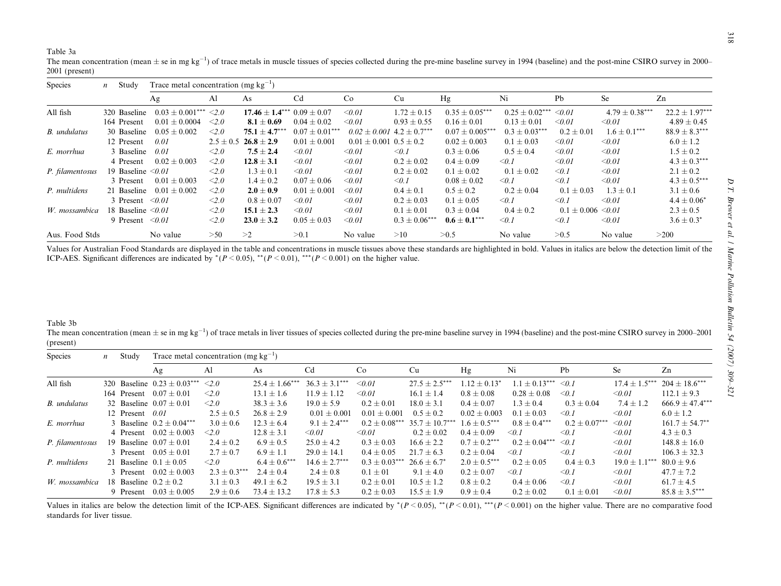<span id="page-9-0"></span>Table 3a

The mean concentration (mean  $\pm$  se in mg kg<sup>-1</sup>) of trace metals in muscle tissues of species collected during the pre-mine baseline survey in 1994 (baseline) and the post-mine CSIRO survey in 2000– 2001 (present)

| Species             | $\mathfrak{n}$ | Study                   | Trace metal concentration (mg $kg^{-1}$ ) |               |                                    |                    |                                   |                   |                     |                     |                |                    |                    |
|---------------------|----------------|-------------------------|-------------------------------------------|---------------|------------------------------------|--------------------|-----------------------------------|-------------------|---------------------|---------------------|----------------|--------------------|--------------------|
|                     |                |                         | Ag                                        | Al            | As                                 | C <sub>d</sub>     | Co                                | Cu                | Hg                  | Ni                  | Pb             | Se                 | Zn                 |
| All fish            |                | 320 Baseline            | $0.03 + 0.001***$                         | $\leq 2.0$    | $17.46 \pm 1.4***$ $0.09 \pm 0.07$ |                    | < 0.01                            | $1.72 \pm 0.15$   | $0.35 \pm 0.05***$  | $0.25 \pm 0.02$ *** | < 0.01         | $4.79 \pm 0.38***$ | $22.2 \pm 1.97***$ |
|                     |                | 164 Present             | $0.01 \pm 0.0004$                         | $\leq2.0$     | $8.1 \pm 0.69$                     | $0.04 \pm 0.02$    | $<$ 0.01 $\,$                     | $0.93 + 0.55$     | $0.16 \pm 0.01$     | $0.13 \pm 0.01$     | < 0.01         | < 0.01             | $4.89 \pm 0.45$    |
| <b>B.</b> undulatus |                | 30 Baseline             | $0.05 \pm 0.002$                          | <2.0          | $75.1 \pm 4.7^*$                   | $0.07 \pm 0.01***$ | $0.02 \pm 0.001$ 4.2 $\pm$ 0.7*** |                   | $0.07 \pm 0.005***$ | $0.3 \pm 0.03***$   | $0.2 \pm 0.01$ | $1.6 \pm 0.1***$   | $88.9 \pm 8.3***$  |
|                     |                | 12 Present              | 0.01                                      | $2.5 \pm 0.5$ | $26.8 + 2.9$                       | $0.01 \pm 0.001$   | $0.01 \pm 0.001$ $0.5 \pm 0.2$    |                   | $0.02 \pm 0.003$    | $0.1 \pm 0.03$      | < 0.01         | < 0.01             | $6.0 \pm 1.2$      |
| E. morrhua          |                | 3 Baseline              | 0.01                                      | $\leq 2.0$    | $7.5 \pm 2.4$                      | < 0.01             | < 0.01                            | $\leq 0.1$        | $0.3 \pm 0.06$      | $0.5 \pm 0.4$       | < 0.01         | < 0.01             | $1.5 \pm 0.2$      |
|                     |                | 4 Present               | $0.02 \pm 0.003$                          | $\leq 2.0$    | $12.8 \pm 3.1$                     | < 0.01             | < 0.01                            | $0.2 \pm 0.02$    | $0.4 \pm 0.09$      | $\leq 0.1$          | < 0.01         | < 0.01             | $4.3 \pm 0.3***$   |
| P. filamentosus     |                | 19 Baseline $\leq 0.01$ |                                           | $\leq 2.0$    | $1.3 \pm 0.1$                      | < 0.01             | < 0.01                            | $0.2 \pm 0.02$    | $0.1 \pm 0.02$      | $0.1 \pm 0.02$      | < 0.1          | < 0.01             | $2.1 \pm 0.2$      |
|                     |                | 3 Present               | $0.01 \pm 0.003$                          | $\leq 2.0$    | $1.4 \pm 0.2$                      | $0.07 \pm 0.06$    | < 0.01                            | $\leq 0.1$        | $0.08 \pm 0.02$     | $\leq 0.1$          | $\leq 0.1$     | < 0.01             | $4.3 \pm 0.5***$   |
| P. multidens        |                | 21 Baseline             | $0.01 + 0.002$                            | $\leq 2.0$    | $2.0 \pm 0.9$                      | $0.01 \pm 0.001$   | < 0.01                            | $0.4 \pm 0.1$     | $0.5 \pm 0.2$       | $0.2 \pm 0.04$      | $0.1 \pm 0.03$ | $1.3 + 0.1$        | $3.1 \pm 0.6$      |
|                     |                | 3 Present               | $\leq 0.01$                               | $\leq$ 2.0    | $0.8 \pm 0.07$                     | $\leq 0.01$        | < 0.01                            | $0.2 \pm 0.03$    | $0.1 \pm 0.05$      | $\leq 0.1$          | $\leq 0.1$     | < 0.01             | $4.4 \pm 0.06^*$   |
| W. mossambica       |                | 18 Baseline $\leq 0.01$ |                                           | $\leq$ 2.0    | $15.1 \pm 2.3$                     | < 0.01             | < 0.01                            | $0.1 \pm 0.01$    | $0.3 \pm 0.04$      | $0.4 \pm 0.2$       | $0.1 + 0.006$  | $\leq 0.01$        | $2.3 \pm 0.5$      |
|                     |                | 9 Present               | $\leq 0.01$                               | $<$ 2.0       | $23.0 \pm 3.2$                     | $0.05 \pm 0.03$    | < 0.01                            | $0.3 \pm 0.06***$ | $0.6 \pm 0.1***$    | $\leq 0.1$          | $\leq 0.1$     | < 0.01             | $3.6 \pm 0.3^*$    |
| Aus. Food Stds      |                |                         | No value                                  | >50           | >2                                 | >0.1               | No value                          | >10               | >0.5                | No value            | >0.5           | No value           | >200               |

Values for Australian Food Standards are displayed in the table and concentrations in muscle tissues above these standards are highlighted in bold. Values in italics are below the detection limit of the ICP-AES. Significant differences are indicated by  $*(P \le 0.05)$ ,  $** (P \le 0.01)$ ,  $*** (P \le 0.001)$  on the higher value.

### Table 3b

The mean concentration (mean  $\pm$  se in mg kg<sup>-1</sup>) of trace metals in liver tissues of species collected during the pre-mine baseline survey in 1994 (baseline) and the post-mine CSIRO survey in 2000–2001 (present)

| Species             | $\mathfrak n$ | Study             | Trace metal concentration (mg $kg^{-1}$ ) |                  |                    |                   |                   |                   |                   |                   |                 |                   |                                |
|---------------------|---------------|-------------------|-------------------------------------------|------------------|--------------------|-------------------|-------------------|-------------------|-------------------|-------------------|-----------------|-------------------|--------------------------------|
|                     |               |                   | Ag                                        | Al               | As                 | C <sub>d</sub>    | Co                | Cu                | Hg                | Ni                | Pb              | <b>Se</b>         | Zn                             |
| All fish            |               |                   | 320 Baseline $0.23 \pm 0.03***$           | $\leq 2.0$       | $25.4 \pm 1.66***$ | $36.3 \pm 3.1***$ | < 0.01            | $27.5 \pm 2.5***$ | $1.12 \pm 0.13^*$ | $1.1 \pm 0.13***$ | $\leq 0.1$      | $17.4 \pm 1.5***$ | $204 \pm 18.6$ ***             |
|                     |               |                   | 164 Present $0.07 \pm 0.01$               | $\leq 2.0$       | $13.1 \pm 1.6$     | $11.9 \pm 1.12$   | < 0.01            | $16.1 \pm 1.4$    | $0.8 \pm 0.08$    | $0.28 \pm 0.08$   | $\leq 0.1$      | < 0.01            | $112.1 \pm 9.3$                |
| <b>B.</b> undulatus |               |                   | 32 Baseline $0.07 + 0.01$                 | $\leq 2.0$       | $38.3 \pm 3.6$     | $19.0 + 5.9$      | $0.2 \pm 0.01$    | $18.0 \pm 3.1$    | $0.4 \pm 0.07$    | $1.3 \pm 0.4$     | $0.3 \pm 0.04$  | $7.4 \pm 1.2$     | $666.9 \pm 47.4***$            |
|                     |               | 12 Present $0.01$ |                                           | $2.5 \pm 0.5$    | $26.8 \pm 2.9$     | $0.01 \pm 0.001$  | $0.01 + 0.001$    | $0.5 \pm 0.2$     | $0.02 \pm 0.003$  | $0.1 \pm 0.03$    | $\leq 0.1$      | < 0.01            | $6.0 \pm 1.2$                  |
| E. morrhua          |               |                   | 3 Baseline $0.2 + 0.04***$                | $3.0 \pm 0.6$    | $12.3 + 6.4$       | $9.1 + 2.4***$    | $0.2 + 0.08***$   | $35.7 + 10.7***$  | $1.6 \pm 0.5***$  | $0.8 \pm 0.4***$  | $0.2 + 0.07***$ | < 0.01            | $161.7 \pm 54.7$ <sup>**</sup> |
|                     |               |                   | 4 Present $0.02 \pm 0.003$                | $\leq 2.0$       | $12.8 \pm 3.1$     | $\leq 0.01$       | $0.01$            | $0.2 \pm 0.02$    | $0.4 \pm 0.09$    | $\leq 0.1$        | $\leq 0.1$      | < 0.01            | $4.3 \pm 0.3$                  |
| P. filamentosus     |               |                   | 19 Baseline $0.07 \pm 0.01$               | $2.4 \pm 0.2$    | $6.9 \pm 0.5$      | $25.0 \pm 4.2$    | $0.3 \pm 0.03$    | $16.6 \pm 2.2$    | $0.7 \pm 0.2$ *** | $0.2 \pm 0.04***$ | $\leq 0.1$      | < 0.01            | $148.8 \pm 16.0$               |
|                     |               |                   | 3 Present $0.05 \pm 0.01$                 | $2.7 + 0.7$      | $6.9 \pm 1.1$      | $29.0 + 14.1$     | $0.4 + 0.05$      | $21.7 + 6.3$      | $0.2 \pm 0.04$    | $\leq 0.1$        | $\leq 0.1$      | < 0.01            | $106.3 \pm 32.3$               |
| P. multidens        |               |                   | 21 Baseline $0.1 \pm 0.05$                | $\leq 2.0$       | $6.4 \pm 0.6***$   | $14.6 \pm 2.7***$ | $0.3 \pm 0.03***$ | $26.6 \pm 6.7^*$  | $2.0 \pm 0.5***$  | $0.2 \pm 0.05$    | $0.4 \pm 0.3$   | $19.0 \pm 1.1***$ | $80.0 \pm 9.6$                 |
|                     |               |                   | 3 Present $0.02 \pm 0.003$                | $2.3 \pm 0.3***$ | $2.4 \pm 0.4$      | $2.4 + 0.8$       | $0.1 \pm 01$      | $9.1 \pm 4.0$     | $0.2 + 0.07$      | $\leq 0.1$        | $\leq 0.1$      | $\leq 0.01$       | $47.7 + 7.2$                   |
| W. mossambica       |               |                   | 18 Baseline $0.2 \pm 0.2$                 | $3.1 \pm 0.3$    | $49.1 \pm 6.2$     | $19.5 \pm 3.1$    | $0.2 \pm 0.01$    | $10.5 \pm 1.2$    | $0.8 \pm 0.2$     | $0.4 \pm 0.06$    | $\leq 0.1$      | < 0.01            | $61.7 \pm 4.5$                 |
|                     |               |                   | 9 Present $0.03 \pm 0.005$                | $2.9 \pm 0.6$    | $73.4 \pm 13.2$    | $17.8 \pm 5.3$    | $0.2 \pm 0.03$    | $15.5 \pm 1.9$    | $0.9 \pm 0.4$     | $0.2 \pm 0.02$    | $0.1 \pm 0.01$  | < 0.01            | $85.8 \pm 3.5***$              |

Values in italics are below the detection limit of the ICP-AES. Significant differences are indicated by  $*(P < 0.05)$ ,  $**(P < 0.01)$ ,  $***(P < 0.001)$  on the higher value. There are no comparative food standards for liver tissue.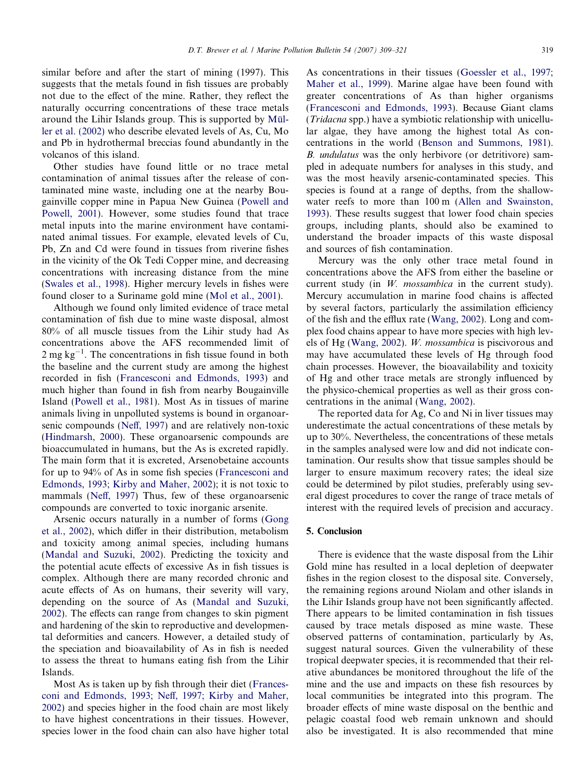similar before and after the start of mining (1997). This suggests that the metals found in fish tissues are probably not due to the effect of the mine. Rather, they reflect the naturally occurring concentrations of these trace metals around the Lihir Islands group. This is supported by Mül[ler et al. \(2002\)](#page-12-0) who describe elevated levels of As, Cu, Mo and Pb in hydrothermal breccias found abundantly in the volcanos of this island.

Other studies have found little or no trace metal contamination of animal tissues after the release of contaminated mine waste, including one at the nearby Bougainville copper mine in Papua New Guinea [\(Powell and](#page-12-0) [Powell, 2001](#page-12-0)). However, some studies found that trace metal inputs into the marine environment have contaminated animal tissues. For example, elevated levels of Cu, Pb, Zn and Cd were found in tissues from riverine fishes in the vicinity of the Ok Tedi Copper mine, and decreasing concentrations with increasing distance from the mine ([Swales et al., 1998](#page-12-0)). Higher mercury levels in fishes were found closer to a Suriname gold mine [\(Mol et al., 2001\)](#page-12-0).

Although we found only limited evidence of trace metal contamination of fish due to mine waste disposal, almost 80% of all muscle tissues from the Lihir study had As concentrations above the AFS recommended limit of  $2 \text{ mg kg}^{-1}$ . The concentrations in fish tissue found in both the baseline and the current study are among the highest recorded in fish [\(Francesconi and Edmonds, 1993\)](#page-11-0) and much higher than found in fish from nearby Bougainville Island [\(Powell et al., 1981\)](#page-12-0). Most As in tissues of marine animals living in unpolluted systems is bound in organoarsenic compounds [\(Neff, 1997](#page-12-0)) and are relatively non-toxic ([Hindmarsh, 2000](#page-12-0)). These organoarsenic compounds are bioaccumulated in humans, but the As is excreted rapidly. The main form that it is excreted, Arsenobetaine accounts for up to 94% of As in some fish species ([Francesconi and](#page-11-0) [Edmonds, 1993; Kirby and Maher, 2002](#page-11-0)); it is not toxic to mammals ([Neff, 1997](#page-12-0)) Thus, few of these organoarsenic compounds are converted to toxic inorganic arsenite.

Arsenic occurs naturally in a number of forms [\(Gong](#page-11-0) [et al., 2002](#page-11-0)), which differ in their distribution, metabolism and toxicity among animal species, including humans ([Mandal and Suzuki, 2002\)](#page-12-0). Predicting the toxicity and the potential acute effects of excessive As in fish tissues is complex. Although there are many recorded chronic and acute effects of As on humans, their severity will vary, depending on the source of As ([Mandal and Suzuki,](#page-12-0) [2002](#page-12-0)). The effects can range from changes to skin pigment and hardening of the skin to reproductive and developmental deformities and cancers. However, a detailed study of the speciation and bioavailability of As in fish is needed to assess the threat to humans eating fish from the Lihir Islands.

Most As is taken up by fish through their diet ([Frances](#page-11-0)[coni and Edmonds, 1993; Neff, 1997; Kirby and Maher,](#page-11-0) [2002](#page-11-0)) and species higher in the food chain are most likely to have highest concentrations in their tissues. However, species lower in the food chain can also have higher total As concentrations in their tissues [\(Goessler et al., 1997;](#page-11-0) [Maher et al., 1999\)](#page-11-0). Marine algae have been found with greater concentrations of As than higher organisms ([Francesconi and Edmonds, 1993\)](#page-11-0). Because Giant clams (Tridacna spp.) have a symbiotic relationship with unicellular algae, they have among the highest total As concentrations in the world ([Benson and Summons, 1981\)](#page-11-0). B. undulatus was the only herbivore (or detritivore) sampled in adequate numbers for analyses in this study, and was the most heavily arsenic-contaminated species. This species is found at a range of depths, from the shallowwater reefs to more than 100 m [\(Allen and Swainston,](#page-11-0) [1993](#page-11-0)). These results suggest that lower food chain species groups, including plants, should also be examined to understand the broader impacts of this waste disposal and sources of fish contamination.

Mercury was the only other trace metal found in concentrations above the AFS from either the baseline or current study (in W. *mossambica* in the current study). Mercury accumulation in marine food chains is affected by several factors, particularly the assimilation efficiency of the fish and the efflux rate [\(Wang, 2002\)](#page-12-0). Long and complex food chains appear to have more species with high levels of Hg ([Wang, 2002\)](#page-12-0). W. mossambica is piscivorous and may have accumulated these levels of Hg through food chain processes. However, the bioavailability and toxicity of Hg and other trace metals are strongly influenced by the physico-chemical properties as well as their gross concentrations in the animal ([Wang, 2002](#page-12-0)).

The reported data for Ag, Co and Ni in liver tissues may underestimate the actual concentrations of these metals by up to 30%. Nevertheless, the concentrations of these metals in the samples analysed were low and did not indicate contamination. Our results show that tissue samples should be larger to ensure maximum recovery rates; the ideal size could be determined by pilot studies, preferably using several digest procedures to cover the range of trace metals of interest with the required levels of precision and accuracy.

# 5. Conclusion

There is evidence that the waste disposal from the Lihir Gold mine has resulted in a local depletion of deepwater fishes in the region closest to the disposal site. Conversely, the remaining regions around Niolam and other islands in the Lihir Islands group have not been significantly affected. There appears to be limited contamination in fish tissues caused by trace metals disposed as mine waste. These observed patterns of contamination, particularly by As, suggest natural sources. Given the vulnerability of these tropical deepwater species, it is recommended that their relative abundances be monitored throughout the life of the mine and the use and impacts on these fish resources by local communities be integrated into this program. The broader effects of mine waste disposal on the benthic and pelagic coastal food web remain unknown and should also be investigated. It is also recommended that mine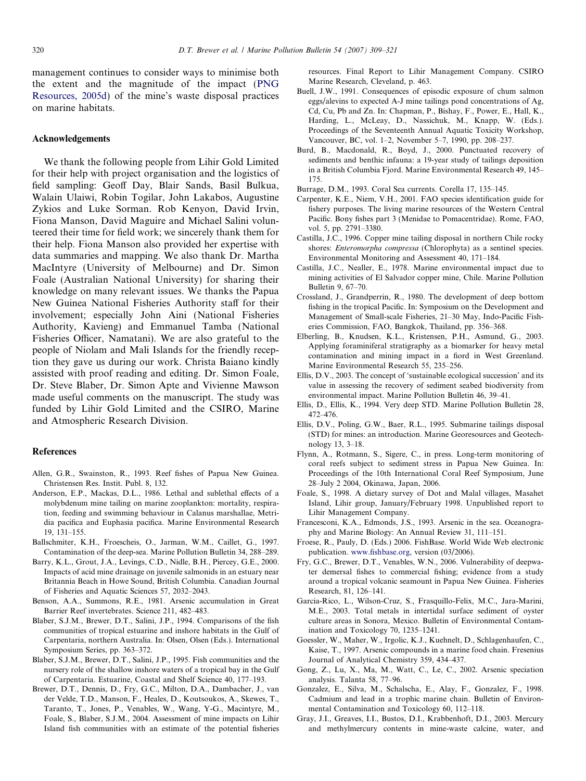<span id="page-11-0"></span>management continues to consider ways to minimise both the extent and the magnitude of the impact [\(PNG](#page-12-0) [Resources, 2005d\)](#page-12-0) of the mine's waste disposal practices on marine habitats.

#### Acknowledgements

We thank the following people from Lihir Gold Limited for their help with project organisation and the logistics of field sampling: Geoff Day, Blair Sands, Basil Bulkua, Walain Ulaiwi, Robin Togilar, John Lakabos, Augustine Zykios and Luke Sorman. Rob Kenyon, David Irvin, Fiona Manson, David Maguire and Michael Salini volunteered their time for field work; we sincerely thank them for their help. Fiona Manson also provided her expertise with data summaries and mapping. We also thank Dr. Martha MacIntyre (University of Melbourne) and Dr. Simon Foale (Australian National University) for sharing their knowledge on many relevant issues. We thanks the Papua New Guinea National Fisheries Authority staff for their involvement; especially John Aini (National Fisheries Authority, Kavieng) and Emmanuel Tamba (National Fisheries Officer, Namatani). We are also grateful to the people of Niolam and Mali Islands for the friendly reception they gave us during our work. Christa Baiano kindly assisted with proof reading and editing. Dr. Simon Foale, Dr. Steve Blaber, Dr. Simon Apte and Vivienne Mawson made useful comments on the manuscript. The study was funded by Lihir Gold Limited and the CSIRO, Marine and Atmospheric Research Division.

#### References

- Allen, G.R., Swainston, R., 1993. Reef fishes of Papua New Guinea. Christensen Res. Instit. Publ. 8, 132.
- Anderson, E.P., Mackas, D.L., 1986. Lethal and sublethal effects of a molybdenum mine tailing on marine zooplankton: mortality, respiration, feeding and swimming behaviour in Calanus marshallae, Metridia pacifica and Euphasia pacifica. Marine Environmental Research 19, 131–155.
- Ballschmiter, K.H., Froescheis, O., Jarman, W.M., Caillet, G., 1997. Contamination of the deep-sea. Marine Pollution Bulletin 34, 288–289.
- Barry, K.L., Grout, J.A., Levings, C.D., Nidle, B.H., Piercey, G.E., 2000. Impacts of acid mine drainage on juvenile salmonids in an estuary near Britannia Beach in Howe Sound, British Columbia. Canadian Journal of Fisheries and Aquatic Sciences 57, 2032–2043.
- Benson, A.A., Summons, R.E., 1981. Arsenic accumulation in Great Barrier Reef invertebrates. Science 211, 482–483.
- Blaber, S.J.M., Brewer, D.T., Salini, J.P., 1994. Comparisons of the fish communities of tropical estuarine and inshore habitats in the Gulf of Carpentaria, northern Australia. In: Olsen, Olsen (Eds.). International Symposium Series, pp. 363–372.
- Blaber, S.J.M., Brewer, D.T., Salini, J.P., 1995. Fish communities and the nursery role of the shallow inshore waters of a tropical bay in the Gulf of Carpentaria. Estuarine, Coastal and Shelf Science 40, 177–193.
- Brewer, D.T., Dennis, D., Fry, G.C., Milton, D.A., Dambacher, J., van der Velde, T.D., Manson, F., Heales, D., Koutsoukos, A., Skewes, T., Taranto, T., Jones, P., Venables, W., Wang, Y-G., Macintyre, M., Foale, S., Blaber, S.J.M., 2004. Assessment of mine impacts on Lihir Island fish communities with an estimate of the potential fisheries

resources. Final Report to Lihir Management Company. CSIRO Marine Research, Cleveland, p. 463.

- Buell, J.W., 1991. Consequences of episodic exposure of chum salmon eggs/alevins to expected A-J mine tailings pond concentrations of Ag, Cd, Cu, Pb and Zn. In: Chapman, P., Bishay, F., Power, E., Hall, K., Harding, L., McLeay, D., Nassichuk, M., Knapp, W. (Eds.). Proceedings of the Seventeenth Annual Aquatic Toxicity Workshop, Vancouver, BC, vol. 1–2, November 5–7, 1990, pp. 208–237.
- Burd, B., Macdonald, R., Boyd, J., 2000. Punctuated recovery of sediments and benthic infauna: a 19-year study of tailings deposition in a British Columbia Fjord. Marine Environmental Research 49, 145– 175.
- Burrage, D.M., 1993. Coral Sea currents. Corella 17, 135–145.
- Carpenter, K.E., Niem, V.H., 2001. FAO species identification guide for fishery purposes. The living marine resources of the Western Central Pacific. Bony fishes part 3 (Menidae to Pomacentridae). Rome, FAO, vol. 5, pp. 2791–3380.
- Castilla, J.C., 1996. Copper mine tailing disposal in northern Chile rocky shores: Enteromorpha compressa (Chlorophyta) as a sentinel species. Environmental Monitoring and Assessment 40, 171–184.
- Castilla, J.C., Nealler, E., 1978. Marine environmental impact due to mining activities of El Salvador copper mine, Chile. Marine Pollution Bulletin 9, 67–70.
- Crossland, J., Grandperrin, R., 1980. The development of deep bottom fishing in the tropical Pacific. In: Symposium on the Development and Management of Small-scale Fisheries, 21–30 May, Indo-Pacific Fisheries Commission, FAO, Bangkok, Thailand, pp. 356–368.
- Elberling, B., Knudsen, K.L., Kristensen, P.H., Asmund, G., 2003. Applying foraminiferal stratigraphy as a biomarker for heavy metal contamination and mining impact in a fiord in West Greenland. Marine Environmental Research 55, 235–256.
- Ellis, D.V., 2003. The concept of 'sustainable ecological succession' and its value in assessing the recovery of sediment seabed biodiversity from environmental impact. Marine Pollution Bulletin 46, 39–41.
- Ellis, D., Ellis, K., 1994. Very deep STD. Marine Pollution Bulletin 28, 472–476.
- Ellis, D.V., Poling, G.W., Baer, R.L., 1995. Submarine tailings disposal (STD) for mines: an introduction. Marine Georesources and Geotechnology 13, 3–18.
- Flynn, A., Rotmann, S., Sigere, C., in press. Long-term monitoring of coral reefs subject to sediment stress in Papua New Guinea. In: Proceedings of the 10th International Coral Reef Symposium, June 28–July 2 2004, Okinawa, Japan, 2006.
- Foale, S., 1998. A dietary survey of Dot and Malal villages, Masahet Island, Lihir group, January/February 1998. Unpublished report to Lihir Management Company.
- Francesconi, K.A., Edmonds, J.S., 1993. Arsenic in the sea. Oceanography and Marine Biology: An Annual Review 31, 111–151.
- Froese, R., Pauly, D. (Eds.) 2006. FishBase. World Wide Web electronic publication. [www.fishbase.org,](http://www.fishbase.org) version (03/2006).
- Fry, G.C., Brewer, D.T., Venables, W.N., 2006. Vulnerability of deepwater demersal fishes to commercial fishing; evidence from a study around a tropical volcanic seamount in Papua New Guinea. Fisheries Research, 81, 126–141.
- Garcia-Rico, L., Wilson-Cruz, S., Frasquillo-Felix, M.C., Jara-Marini, M.E., 2003. Total metals in intertidal surface sediment of oyster culture areas in Sonora, Mexico. Bulletin of Environmental Contamination and Toxicology 70, 1235–1241.
- Goessler, W., Maher, W., Irgolic, K.J., Kuehnelt, D., Schlagenhaufen, C., Kaise, T., 1997. Arsenic compounds in a marine food chain. Fresenius Journal of Analytical Chemistry 359, 434–437.
- Gong, Z., Lu, X., Ma, M., Watt, C., Le, C., 2002. Arsenic speciation analysis. Talanta 58, 77–96.
- Gonzalez, E., Silva, M., Schalscha, E., Alay, F., Gonzalez, F., 1998. Cadmium and lead in a trophic marine chain. Bulletin of Environmental Contamination and Toxicology 60, 112–118.
- Gray, J.I., Greaves, I.I., Bustos, D.I., Krabbenhoft, D.I., 2003. Mercury and methylmercury contents in mine-waste calcine, water, and